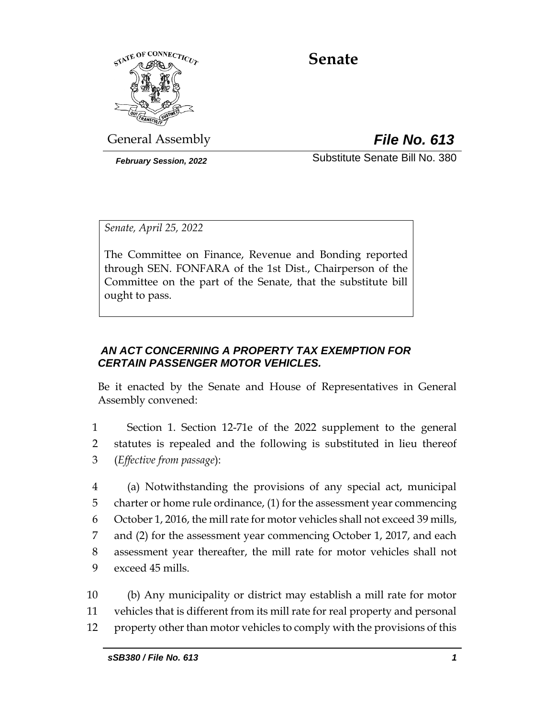

# **Senate**

General Assembly *File No. 613*

*February Session, 2022* Substitute Senate Bill No. 380

*Senate, April 25, 2022*

The Committee on Finance, Revenue and Bonding reported through SEN. FONFARA of the 1st Dist., Chairperson of the Committee on the part of the Senate, that the substitute bill ought to pass.

## *AN ACT CONCERNING A PROPERTY TAX EXEMPTION FOR CERTAIN PASSENGER MOTOR VEHICLES.*

Be it enacted by the Senate and House of Representatives in General Assembly convened:

1 Section 1. Section 12-71e of the 2022 supplement to the general 2 statutes is repealed and the following is substituted in lieu thereof 3 (*Effective from passage*):

 (a) Notwithstanding the provisions of any special act, municipal charter or home rule ordinance, (1) for the assessment year commencing October 1, 2016, the mill rate for motor vehicles shall not exceed 39 mills, and (2) for the assessment year commencing October 1, 2017, and each assessment year thereafter, the mill rate for motor vehicles shall not exceed 45 mills.

10 (b) Any municipality or district may establish a mill rate for motor 11 vehicles that is different from its mill rate for real property and personal 12 property other than motor vehicles to comply with the provisions of this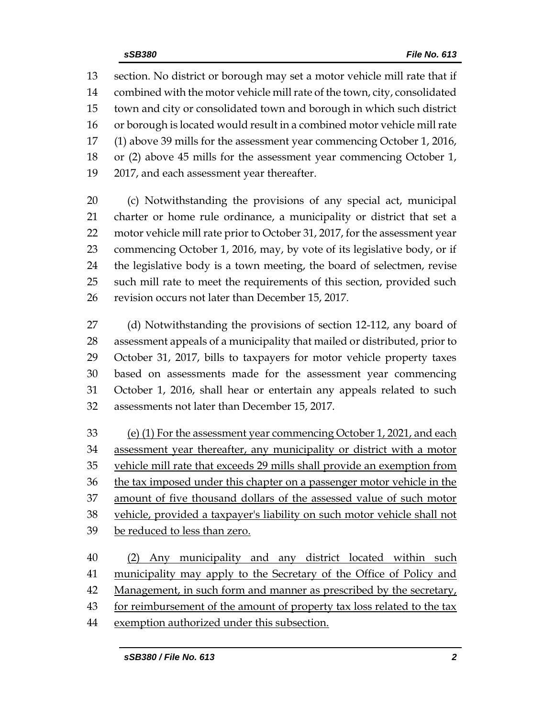section. No district or borough may set a motor vehicle mill rate that if combined with the motor vehicle mill rate of the town, city, consolidated town and city or consolidated town and borough in which such district 16 or borough is located would result in a combined motor vehicle mill rate (1) above 39 mills for the assessment year commencing October 1, 2016, or (2) above 45 mills for the assessment year commencing October 1, 2017, and each assessment year thereafter.

 (c) Notwithstanding the provisions of any special act, municipal charter or home rule ordinance, a municipality or district that set a motor vehicle mill rate prior to October 31, 2017, for the assessment year commencing October 1, 2016, may, by vote of its legislative body, or if the legislative body is a town meeting, the board of selectmen, revise such mill rate to meet the requirements of this section, provided such revision occurs not later than December 15, 2017.

 (d) Notwithstanding the provisions of section 12-112, any board of assessment appeals of a municipality that mailed or distributed, prior to October 31, 2017, bills to taxpayers for motor vehicle property taxes based on assessments made for the assessment year commencing October 1, 2016, shall hear or entertain any appeals related to such assessments not later than December 15, 2017.

 (e) (1) For the assessment year commencing October 1, 2021, and each assessment year thereafter, any municipality or district with a motor 35 vehicle mill rate that exceeds 29 mills shall provide an exemption from 36 the tax imposed under this chapter on a passenger motor vehicle in the amount of five thousand dollars of the assessed value of such motor vehicle, provided a taxpayer's liability on such motor vehicle shall not be reduced to less than zero.

 (2) Any municipality and any district located within such municipality may apply to the Secretary of the Office of Policy and 42 Management, in such form and manner as prescribed by the secretary, 43 for reimbursement of the amount of property tax loss related to the tax exemption authorized under this subsection.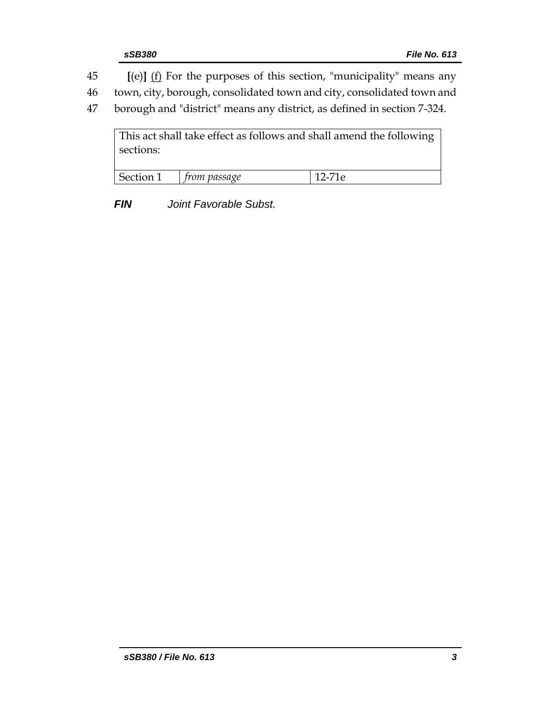45 **[**(e)**]** (f) For the purposes of this section, "municipality" means any

46 town, city, borough, consolidated town and city, consolidated town and

47 borough and "district" means any district, as defined in section 7-324.

This act shall take effect as follows and shall amend the following sections: Section 1 *from passage* 12-71e

*FIN Joint Favorable Subst.*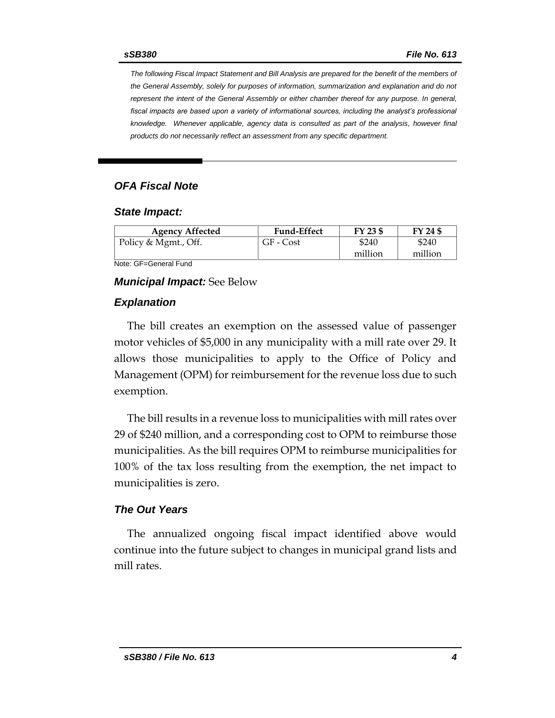*The following Fiscal Impact Statement and Bill Analysis are prepared for the benefit of the members of the General Assembly, solely for purposes of information, summarization and explanation and do not represent the intent of the General Assembly or either chamber thereof for any purpose. In general,*  fiscal impacts are based upon a variety of informational sources, including the analyst's professional *knowledge. Whenever applicable, agency data is consulted as part of the analysis, however final products do not necessarily reflect an assessment from any specific department.*

#### *OFA Fiscal Note*

#### *State Impact:*

| <b>Agency Affected</b> | <b>Fund-Effect</b> | FY 23 \$ | FY 24 \$ |
|------------------------|--------------------|----------|----------|
| Policy & Mgmt., Off.   | GF - Cost          | \$240    | \$240    |
|                        |                    | million  | million  |

Note: GF=General Fund

#### *Municipal Impact:* See Below

#### *Explanation*

The bill creates an exemption on the assessed value of passenger motor vehicles of \$5,000 in any municipality with a mill rate over 29. It allows those municipalities to apply to the Office of Policy and Management (OPM) for reimbursement for the revenue loss due to such exemption.

The bill results in a revenue loss to municipalities with mill rates over 29 of \$240 million, and a corresponding cost to OPM to reimburse those municipalities. As the bill requires OPM to reimburse municipalities for 100% of the tax loss resulting from the exemption, the net impact to municipalities is zero.

#### *The Out Years*

The annualized ongoing fiscal impact identified above would continue into the future subject to changes in municipal grand lists and mill rates.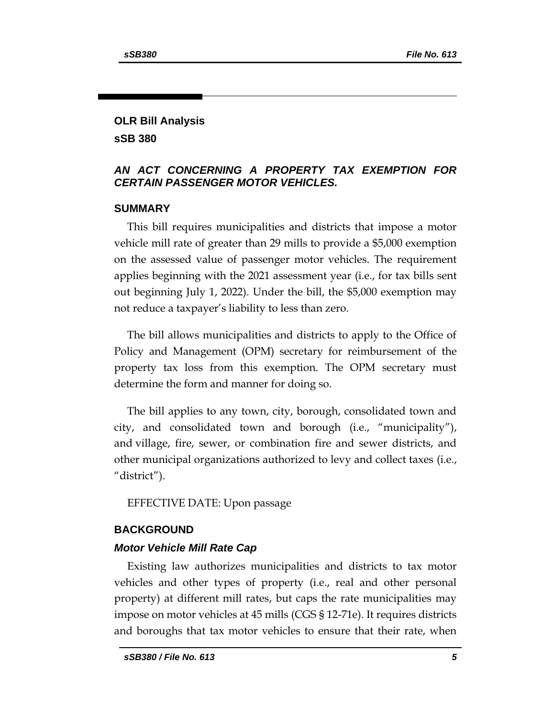## **OLR Bill Analysis sSB 380**

## *AN ACT CONCERNING A PROPERTY TAX EXEMPTION FOR CERTAIN PASSENGER MOTOR VEHICLES.*

## **SUMMARY**

This bill requires municipalities and districts that impose a motor vehicle mill rate of greater than 29 mills to provide a \$5,000 exemption on the assessed value of passenger motor vehicles. The requirement applies beginning with the 2021 assessment year (i.e., for tax bills sent out beginning July 1, 2022). Under the bill, the \$5,000 exemption may not reduce a taxpayer's liability to less than zero.

The bill allows municipalities and districts to apply to the Office of Policy and Management (OPM) secretary for reimbursement of the property tax loss from this exemption. The OPM secretary must determine the form and manner for doing so.

The bill applies to any town, city, borough, consolidated town and city, and consolidated town and borough (i.e., "municipality"), and village, fire, sewer, or combination fire and sewer districts, and other municipal organizations authorized to levy and collect taxes (i.e., "district").

EFFECTIVE DATE: Upon passage

#### **BACKGROUND**

## *Motor Vehicle Mill Rate Cap*

Existing law authorizes municipalities and districts to tax motor vehicles and other types of property (i.e., real and other personal property) at different mill rates, but caps the rate municipalities may impose on motor vehicles at 45 mills (CGS § 12-71e). It requires districts and boroughs that tax motor vehicles to ensure that their rate, when